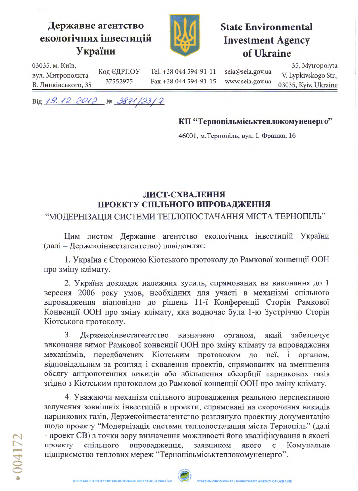## Державне агентство екологічних інвестицій України



**State Environmental Investment Agency** of Ukraine

03035, м. Київ, 35, Mytropolyta Код ЄДРПОУ Tel. +38 044 594-91-11 seia@seia.gov.ua V. Lypkivskogo Str., вул. Митрополита 37552975 Fax +38 044 594-91-15 www.seia.gov.ua 03035, Kyiv, Ukraine В. Липківського, 35

Від 19.12.2012 № 3871/23/7

КП "Тернопільміськтеплокомуненерго"

46001, м. Тернопіль, вул. І. Франка, 16

## ЛИСТ-СХВАЛЕННЯ ПРОЕКТУ СПІЛЬНОГО ВПРОВАДЖЕННЯ

"МОДЕРНІЗАЦІЯ СИСТЕМИ ТЕПЛОПОСТАЧАННЯ МІСТА ТЕРНОПІЛЬ"

Цим листом Державне агентство екологічних інвестицій України (далі - Держекоінвестагентство) повідомляє:

1. Україна є Стороною Кіотського протоколу до Рамкової конвенції ООН про зміну клімату.

2. Україна докладає належних зусиль, спрямованих на виконання до 1 вересня 2006 року умов, необхідних для участі в механізмі спільного впровадження відповідно до рішень 11-ї Конференції Сторін Рамкової Конвенції ООН про зміну клімату, яка водночас була 1-ю Зустріччю Сторін Кіотського протоколу.

3. Держекоінвестагентство визначено органом, який забезпечує виконання вимог Рамкової конвенції ООН про зміну клімату та впровадження механізмів, передбачених Кіотським протоколом до неї, і органом. відповідальним за розгляд і схвалення проектів, спрямованих на зменшення обсягу антропогенних викидів або збільшення абсорбції парникових газів згідно з Кіотським протоколом до Рамкової конвенції ООН про зміну клімату.

4. Уважаючи механізм спільного впровадження реальною перспективою залучення зовнішніх інвестицій в проекти, спрямовані на скорочення викидів парникових газів, Держекоінвестагентство розглянуло проектну документацію щодо проекту "Модернізація системи теплопостачання міста Тернопіль" (далі - проект СВ) з точки зору визначення можливості його кваліфікування в якості спільного впровадження, заявником проекту якого Комунальне  $\epsilon$ підприємство теплових мереж "Тернопільміськтеплокомуненерго".